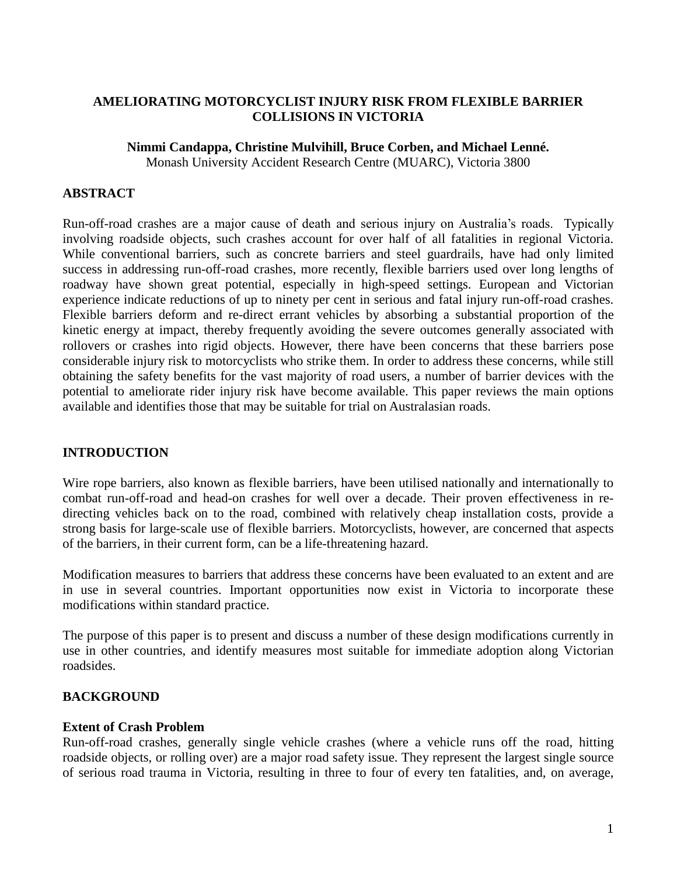## **AMELIORATING MOTORCYCLIST INJURY RISK FROM FLEXIBLE BARRIER COLLISIONS IN VICTORIA**

## **Nimmi Candappa, Christine Mulvihill, Bruce Corben, and Michael Lenné.**

Monash University Accident Research Centre (MUARC), Victoria 3800

## **ABSTRACT**

Run-off-road crashes are a major cause of death and serious injury on Australia's roads. Typically involving roadside objects, such crashes account for over half of all fatalities in regional Victoria. While conventional barriers, such as concrete barriers and steel guardrails, have had only limited success in addressing run-off-road crashes, more recently, flexible barriers used over long lengths of roadway have shown great potential, especially in high-speed settings. European and Victorian experience indicate reductions of up to ninety per cent in serious and fatal injury run-off-road crashes. Flexible barriers deform and re-direct errant vehicles by absorbing a substantial proportion of the kinetic energy at impact, thereby frequently avoiding the severe outcomes generally associated with rollovers or crashes into rigid objects. However, there have been concerns that these barriers pose considerable injury risk to motorcyclists who strike them. In order to address these concerns, while still obtaining the safety benefits for the vast majority of road users, a number of barrier devices with the potential to ameliorate rider injury risk have become available. This paper reviews the main options available and identifies those that may be suitable for trial on Australasian roads.

# **INTRODUCTION**

Wire rope barriers, also known as flexible barriers, have been utilised nationally and internationally to combat run-off-road and head-on crashes for well over a decade. Their proven effectiveness in redirecting vehicles back on to the road, combined with relatively cheap installation costs, provide a strong basis for large-scale use of flexible barriers. Motorcyclists, however, are concerned that aspects of the barriers, in their current form, can be a life-threatening hazard.

Modification measures to barriers that address these concerns have been evaluated to an extent and are in use in several countries. Important opportunities now exist in Victoria to incorporate these modifications within standard practice.

The purpose of this paper is to present and discuss a number of these design modifications currently in use in other countries, and identify measures most suitable for immediate adoption along Victorian roadsides.

### **BACKGROUND**

#### **Extent of Crash Problem**

Run-off-road crashes, generally single vehicle crashes (where a vehicle runs off the road, hitting roadside objects, or rolling over) are a major road safety issue. They represent the largest single source of serious road trauma in Victoria, resulting in three to four of every ten fatalities, and, on average,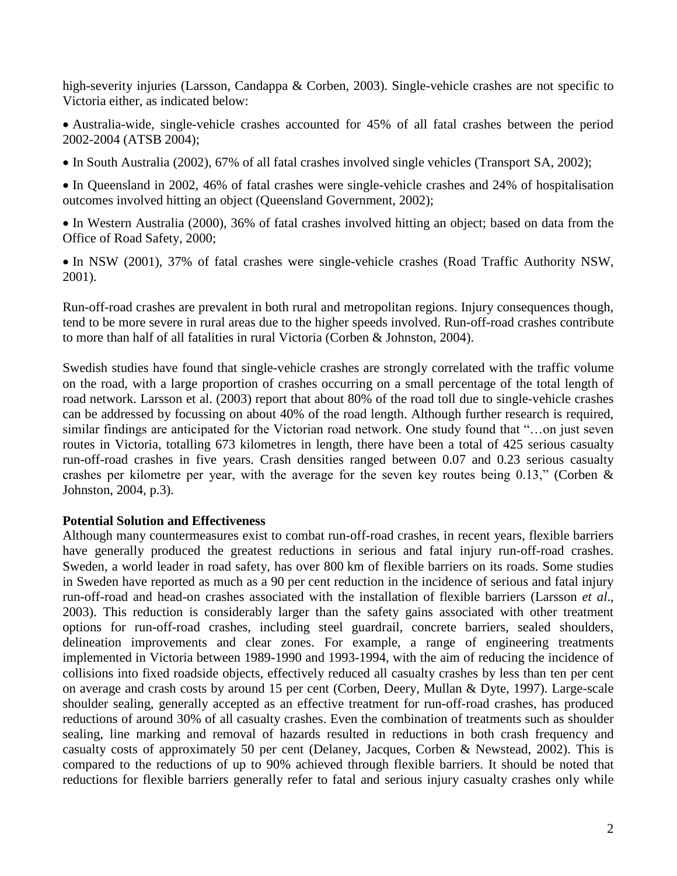high-severity injuries (Larsson, Candappa & Corben, 2003). Single-vehicle crashes are not specific to Victoria either, as indicated below:

Australia-wide, single-vehicle crashes accounted for 45% of all fatal crashes between the period 2002-2004 (ATSB 2004);

In South Australia (2002), 67% of all fatal crashes involved single vehicles (Transport SA, 2002);

In Queensland in 2002, 46% of fatal crashes were single-vehicle crashes and 24% of hospitalisation outcomes involved hitting an object (Queensland Government, 2002);

• In Western Australia (2000), 36% of fatal crashes involved hitting an object; based on data from the Office of Road Safety, 2000;

• In NSW (2001), 37% of fatal crashes were single-vehicle crashes (Road Traffic Authority NSW, 2001).

Run-off-road crashes are prevalent in both rural and metropolitan regions. Injury consequences though, tend to be more severe in rural areas due to the higher speeds involved. Run-off-road crashes contribute to more than half of all fatalities in rural Victoria (Corben & Johnston, 2004).

Swedish studies have found that single-vehicle crashes are strongly correlated with the traffic volume on the road, with a large proportion of crashes occurring on a small percentage of the total length of road network. Larsson et al. (2003) report that about 80% of the road toll due to single-vehicle crashes can be addressed by focussing on about 40% of the road length. Although further research is required, similar findings are anticipated for the Victorian road network. One study found that "...on just seven routes in Victoria, totalling 673 kilometres in length, there have been a total of 425 serious casualty run-off-road crashes in five years. Crash densities ranged between 0.07 and 0.23 serious casualty crashes per kilometre per year, with the average for the seven key routes being 0.13," (Corben  $\&$ Johnston, 2004, p.3).

# **Potential Solution and Effectiveness**

Although many countermeasures exist to combat run-off-road crashes, in recent years, flexible barriers have generally produced the greatest reductions in serious and fatal injury run-off-road crashes. Sweden, a world leader in road safety, has over 800 km of flexible barriers on its roads. Some studies in Sweden have reported as much as a 90 per cent reduction in the incidence of serious and fatal injury run-off-road and head-on crashes associated with the installation of flexible barriers (Larsson *et al*., 2003). This reduction is considerably larger than the safety gains associated with other treatment options for run-off-road crashes, including steel guardrail, concrete barriers, sealed shoulders, delineation improvements and clear zones. For example, a range of engineering treatments implemented in Victoria between 1989-1990 and 1993-1994, with the aim of reducing the incidence of collisions into fixed roadside objects, effectively reduced all casualty crashes by less than ten per cent on average and crash costs by around 15 per cent (Corben, Deery, Mullan & Dyte, 1997). Large-scale shoulder sealing, generally accepted as an effective treatment for run-off-road crashes, has produced reductions of around 30% of all casualty crashes. Even the combination of treatments such as shoulder sealing, line marking and removal of hazards resulted in reductions in both crash frequency and casualty costs of approximately 50 per cent (Delaney, Jacques, Corben & Newstead, 2002). This is compared to the reductions of up to 90% achieved through flexible barriers. It should be noted that reductions for flexible barriers generally refer to fatal and serious injury casualty crashes only while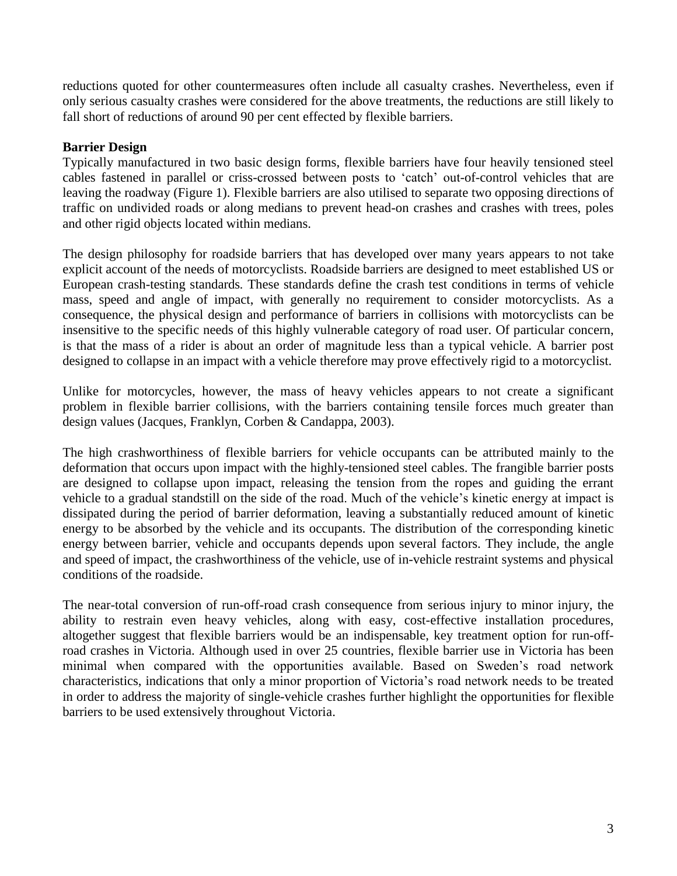reductions quoted for other countermeasures often include all casualty crashes. Nevertheless, even if only serious casualty crashes were considered for the above treatments, the reductions are still likely to fall short of reductions of around 90 per cent effected by flexible barriers.

# **Barrier Design**

Typically manufactured in two basic design forms, flexible barriers have four heavily tensioned steel cables fastened in parallel or criss-crossed between posts to 'catch' out-of-control vehicles that are leaving the roadway (Figure 1). Flexible barriers are also utilised to separate two opposing directions of traffic on undivided roads or along medians to prevent head-on crashes and crashes with trees, poles and other rigid objects located within medians.

The design philosophy for roadside barriers that has developed over many years appears to not take explicit account of the needs of motorcyclists. Roadside barriers are designed to meet established US or European crash-testing standards*.* These standards define the crash test conditions in terms of vehicle mass, speed and angle of impact, with generally no requirement to consider motorcyclists. As a consequence, the physical design and performance of barriers in collisions with motorcyclists can be insensitive to the specific needs of this highly vulnerable category of road user. Of particular concern, is that the mass of a rider is about an order of magnitude less than a typical vehicle. A barrier post designed to collapse in an impact with a vehicle therefore may prove effectively rigid to a motorcyclist.

Unlike for motorcycles, however, the mass of heavy vehicles appears to not create a significant problem in flexible barrier collisions, with the barriers containing tensile forces much greater than design values (Jacques, Franklyn, Corben & Candappa, 2003).

The high crashworthiness of flexible barriers for vehicle occupants can be attributed mainly to the deformation that occurs upon impact with the highly-tensioned steel cables. The frangible barrier posts are designed to collapse upon impact, releasing the tension from the ropes and guiding the errant vehicle to a gradual standstill on the side of the road. Much of the vehicle's kinetic energy at impact is dissipated during the period of barrier deformation, leaving a substantially reduced amount of kinetic energy to be absorbed by the vehicle and its occupants. The distribution of the corresponding kinetic energy between barrier, vehicle and occupants depends upon several factors. They include, the angle and speed of impact, the crashworthiness of the vehicle, use of in-vehicle restraint systems and physical conditions of the roadside.

The near-total conversion of run-off-road crash consequence from serious injury to minor injury, the ability to restrain even heavy vehicles, along with easy, cost-effective installation procedures, altogether suggest that flexible barriers would be an indispensable, key treatment option for run-offroad crashes in Victoria. Although used in over 25 countries, flexible barrier use in Victoria has been minimal when compared with the opportunities available. Based on Sweden's road network characteristics, indications that only a minor proportion of Victoria's road network needs to be treated in order to address the majority of single-vehicle crashes further highlight the opportunities for flexible barriers to be used extensively throughout Victoria.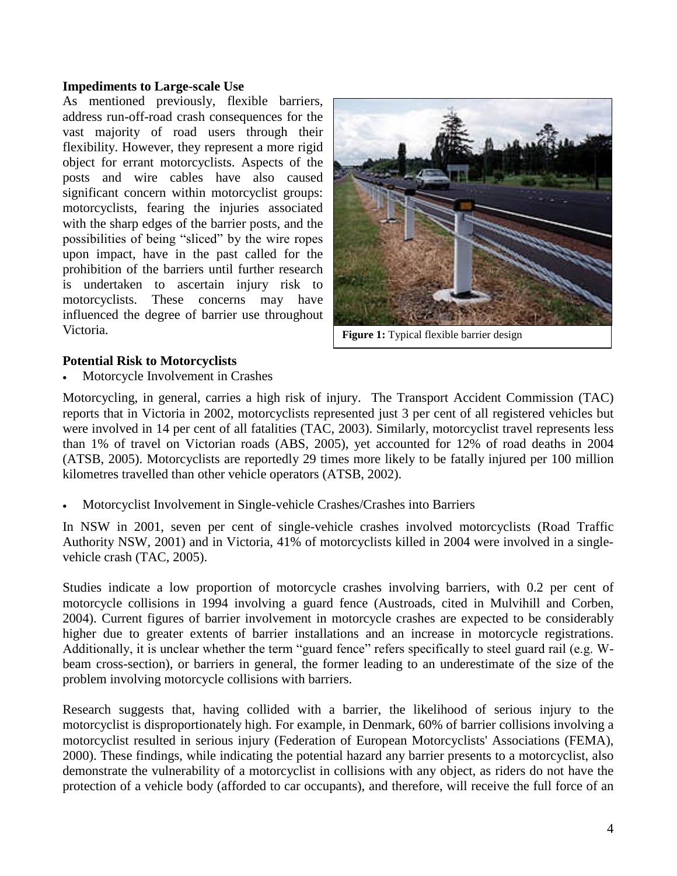#### **Impediments to Large-scale Use**

As mentioned previously, flexible barriers, address run-off-road crash consequences for the vast majority of road users through their flexibility. However, they represent a more rigid object for errant motorcyclists. Aspects of the posts and wire cables have also caused significant concern within motorcyclist groups: motorcyclists, fearing the injuries associated with the sharp edges of the barrier posts, and the possibilities of being "sliced" by the wire ropes upon impact, have in the past called for the prohibition of the barriers until further research is undertaken to ascertain injury risk to motorcyclists. These concerns may have influenced the degree of barrier use throughout Victoria.



**Figure 1:** Typical flexible barrier design

## **Potential Risk to Motorcyclists**

Motorcycle Involvement in Crashes

Motorcycling, in general, carries a high risk of injury. The Transport Accident Commission (TAC) reports that in Victoria in 2002, motorcyclists represented just 3 per cent of all registered vehicles but were involved in 14 per cent of all fatalities (TAC, 2003). Similarly, motorcyclist travel represents less than 1% of travel on Victorian roads (ABS, 2005), yet accounted for 12% of road deaths in 2004 (ATSB, 2005). Motorcyclists are reportedly 29 times more likely to be fatally injured per 100 million kilometres travelled than other vehicle operators (ATSB, 2002).

Motorcyclist Involvement in Single-vehicle Crashes/Crashes into Barriers

In NSW in 2001, seven per cent of single-vehicle crashes involved motorcyclists (Road Traffic Authority NSW, 2001) and in Victoria, 41% of motorcyclists killed in 2004 were involved in a singlevehicle crash (TAC, 2005).

Studies indicate a low proportion of motorcycle crashes involving barriers, with 0.2 per cent of motorcycle collisions in 1994 involving a guard fence (Austroads, cited in Mulvihill and Corben, 2004). Current figures of barrier involvement in motorcycle crashes are expected to be considerably higher due to greater extents of barrier installations and an increase in motorcycle registrations. Additionally, it is unclear whether the term "guard fence" refers specifically to steel guard rail (e.g. Wbeam cross-section), or barriers in general, the former leading to an underestimate of the size of the problem involving motorcycle collisions with barriers.

Research suggests that, having collided with a barrier, the likelihood of serious injury to the motorcyclist is disproportionately high. For example, in Denmark, 60% of barrier collisions involving a motorcyclist resulted in serious injury (Federation of European Motorcyclists' Associations (FEMA), 2000). These findings, while indicating the potential hazard any barrier presents to a motorcyclist, also demonstrate the vulnerability of a motorcyclist in collisions with any object, as riders do not have the protection of a vehicle body (afforded to car occupants), and therefore, will receive the full force of an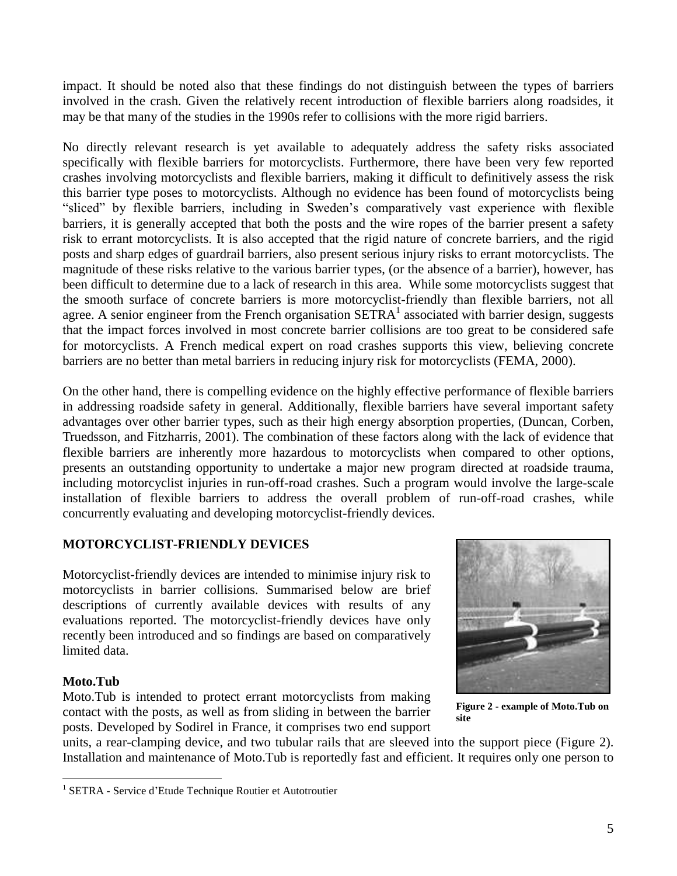impact. It should be noted also that these findings do not distinguish between the types of barriers involved in the crash. Given the relatively recent introduction of flexible barriers along roadsides, it may be that many of the studies in the 1990s refer to collisions with the more rigid barriers.

No directly relevant research is yet available to adequately address the safety risks associated specifically with flexible barriers for motorcyclists. Furthermore, there have been very few reported crashes involving motorcyclists and flexible barriers, making it difficult to definitively assess the risk this barrier type poses to motorcyclists. Although no evidence has been found of motorcyclists being "sliced" by flexible barriers, including in Sweden's comparatively vast experience with flexible barriers, it is generally accepted that both the posts and the wire ropes of the barrier present a safety risk to errant motorcyclists. It is also accepted that the rigid nature of concrete barriers, and the rigid posts and sharp edges of guardrail barriers, also present serious injury risks to errant motorcyclists. The magnitude of these risks relative to the various barrier types, (or the absence of a barrier), however, has been difficult to determine due to a lack of research in this area. While some motorcyclists suggest that the smooth surface of concrete barriers is more motorcyclist-friendly than flexible barriers, not all agree. A senior engineer from the French organisation  $SETRA<sup>1</sup>$  associated with barrier design, suggests that the impact forces involved in most concrete barrier collisions are too great to be considered safe for motorcyclists. A French medical expert on road crashes supports this view, believing concrete barriers are no better than metal barriers in reducing injury risk for motorcyclists (FEMA, 2000).

On the other hand, there is compelling evidence on the highly effective performance of flexible barriers in addressing roadside safety in general. Additionally, flexible barriers have several important safety advantages over other barrier types, such as their high energy absorption properties, (Duncan, Corben, Truedsson, and Fitzharris, 2001). The combination of these factors along with the lack of evidence that flexible barriers are inherently more hazardous to motorcyclists when compared to other options, presents an outstanding opportunity to undertake a major new program directed at roadside trauma, including motorcyclist injuries in run-off-road crashes. Such a program would involve the large-scale installation of flexible barriers to address the overall problem of run-off-road crashes, while concurrently evaluating and developing motorcyclist-friendly devices.

# **MOTORCYCLIST-FRIENDLY DEVICES**

Motorcyclist-friendly devices are intended to minimise injury risk to motorcyclists in barrier collisions. Summarised below are brief descriptions of currently available devices with results of any evaluations reported. The motorcyclist-friendly devices have only recently been introduced and so findings are based on comparatively limited data.

# **Moto.Tub**

Moto.Tub is intended to protect errant motorcyclists from making contact with the posts, as well as from sliding in between the barrier posts. Developed by Sodirel in France, it comprises two end support



**Figure 2 - example of Moto.Tub on site**

units, a rear-clamping device, and two tubular rails that are sleeved into the support piece (Figure 2). Installation and maintenance of Moto.Tub is reportedly fast and efficient. It requires only one person to

<sup>&</sup>lt;sup>1</sup> SETRA - Service d'Etude Technique Routier et Autotroutier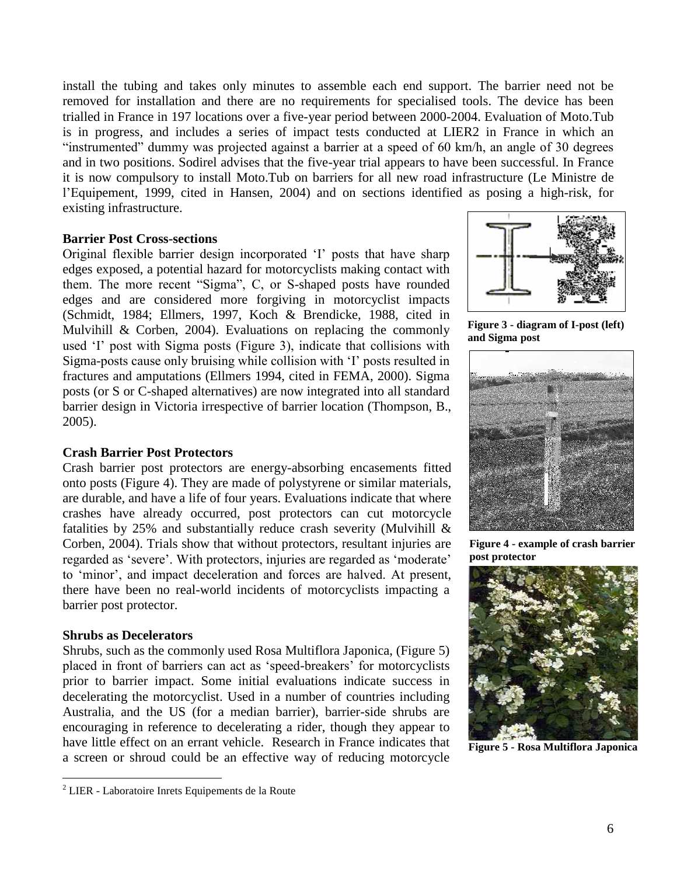install the tubing and takes only minutes to assemble each end support. The barrier need not be removed for installation and there are no requirements for specialised tools. The device has been trialled in France in 197 locations over a five-year period between 2000-2004. Evaluation of Moto.Tub is in progress, and includes a series of impact tests conducted at LIER2 in France in which an "instrumented" dummy was projected against a barrier at a speed of 60 km/h, an angle of 30 degrees and in two positions. Sodirel advises that the five-year trial appears to have been successful. In France it is now compulsory to install Moto.Tub on barriers for all new road infrastructure (Le Ministre de l'Equipement, 1999, cited in Hansen, 2004) and on sections identified as posing a high-risk, for existing infrastructure.

#### **Barrier Post Cross-sections**

Original flexible barrier design incorporated 'I' posts that have sharp edges exposed, a potential hazard for motorcyclists making contact with them. The more recent "Sigma", C, or S-shaped posts have rounded edges and are considered more forgiving in motorcyclist impacts (Schmidt, 1984; Ellmers, 1997, Koch & Brendicke, 1988, cited in Mulvihill & Corben, 2004). Evaluations on replacing the commonly used 'I' post with Sigma posts (Figure 3), indicate that collisions with Sigma-posts cause only bruising while collision with 'I' posts resulted in fractures and amputations (Ellmers 1994, cited in FEMA, 2000). Sigma posts (or S or C-shaped alternatives) are now integrated into all standard barrier design in Victoria irrespective of barrier location (Thompson, B., 2005).

#### **Crash Barrier Post Protectors**

Crash barrier post protectors are energy-absorbing encasements fitted onto posts (Figure 4). They are made of polystyrene or similar materials, are durable, and have a life of four years. Evaluations indicate that where crashes have already occurred, post protectors can cut motorcycle fatalities by 25% and substantially reduce crash severity (Mulvihill  $\&$ Corben, 2004). Trials show that without protectors, resultant injuries are regarded as 'severe'. With protectors, injuries are regarded as 'moderate' to 'minor', and impact deceleration and forces are halved. At present, there have been no real-world incidents of motorcyclists impacting a barrier post protector.

#### **Shrubs as Decelerators**

Shrubs, such as the commonly used Rosa Multiflora Japonica, (Figure 5) placed in front of barriers can act as 'speed-breakers' for motorcyclists prior to barrier impact. Some initial evaluations indicate success in decelerating the motorcyclist. Used in a number of countries including Australia, and the US (for a median barrier), barrier-side shrubs are encouraging in reference to decelerating a rider, though they appear to have little effect on an errant vehicle. Research in France indicates that a screen or shroud could be an effective way of reducing motorcycle

**Figure 3 - diagram of I-post (left) and Sigma post**



**Figure 4 - example of crash barrier post protector**



**Figure 5 - Rosa Multiflora Japonica**

 $2$  LIER - Laboratoire Inrets Equipements de la Route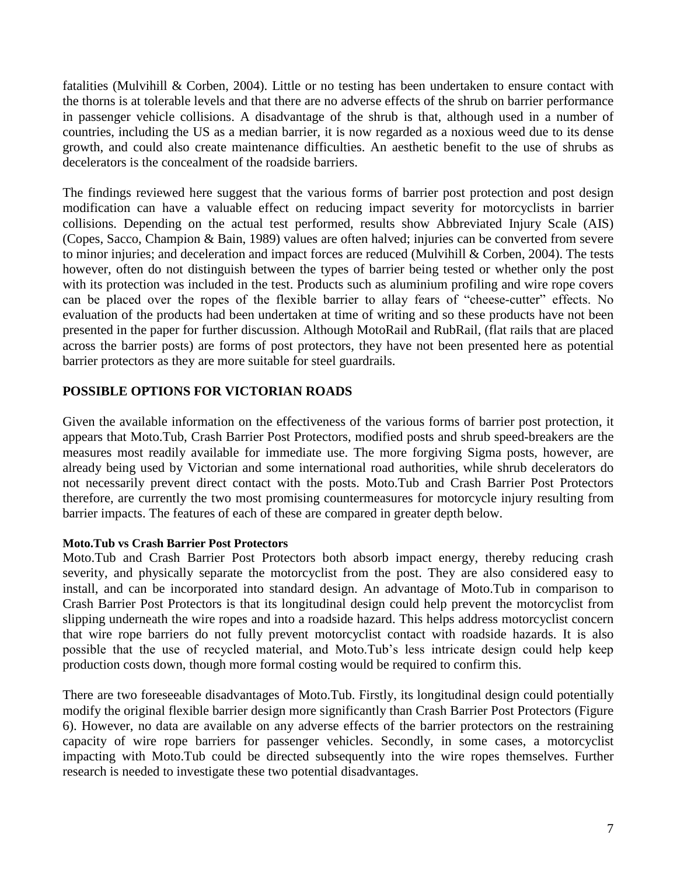fatalities (Mulvihill & Corben, 2004). Little or no testing has been undertaken to ensure contact with the thorns is at tolerable levels and that there are no adverse effects of the shrub on barrier performance in passenger vehicle collisions. A disadvantage of the shrub is that, although used in a number of countries, including the US as a median barrier, it is now regarded as a noxious weed due to its dense growth, and could also create maintenance difficulties. An aesthetic benefit to the use of shrubs as decelerators is the concealment of the roadside barriers.

The findings reviewed here suggest that the various forms of barrier post protection and post design modification can have a valuable effect on reducing impact severity for motorcyclists in barrier collisions. Depending on the actual test performed, results show Abbreviated Injury Scale (AIS) (Copes, Sacco, Champion & Bain, 1989) values are often halved; injuries can be converted from severe to minor injuries; and deceleration and impact forces are reduced (Mulvihill & Corben, 2004). The tests however, often do not distinguish between the types of barrier being tested or whether only the post with its protection was included in the test. Products such as aluminium profiling and wire rope covers can be placed over the ropes of the flexible barrier to allay fears of "cheese-cutter" effects. No evaluation of the products had been undertaken at time of writing and so these products have not been presented in the paper for further discussion. Although MotoRail and RubRail, (flat rails that are placed across the barrier posts) are forms of post protectors, they have not been presented here as potential barrier protectors as they are more suitable for steel guardrails.

# **POSSIBLE OPTIONS FOR VICTORIAN ROADS**

Given the available information on the effectiveness of the various forms of barrier post protection, it appears that Moto.Tub, Crash Barrier Post Protectors, modified posts and shrub speed-breakers are the measures most readily available for immediate use. The more forgiving Sigma posts, however, are already being used by Victorian and some international road authorities, while shrub decelerators do not necessarily prevent direct contact with the posts. Moto.Tub and Crash Barrier Post Protectors therefore, are currently the two most promising countermeasures for motorcycle injury resulting from barrier impacts. The features of each of these are compared in greater depth below.

#### **Moto.Tub vs Crash Barrier Post Protectors**

Moto.Tub and Crash Barrier Post Protectors both absorb impact energy, thereby reducing crash severity, and physically separate the motorcyclist from the post. They are also considered easy to install, and can be incorporated into standard design. An advantage of Moto.Tub in comparison to Crash Barrier Post Protectors is that its longitudinal design could help prevent the motorcyclist from slipping underneath the wire ropes and into a roadside hazard. This helps address motorcyclist concern that wire rope barriers do not fully prevent motorcyclist contact with roadside hazards. It is also possible that the use of recycled material, and Moto.Tub's less intricate design could help keep production costs down, though more formal costing would be required to confirm this.

There are two foreseeable disadvantages of Moto.Tub. Firstly, its longitudinal design could potentially modify the original flexible barrier design more significantly than Crash Barrier Post Protectors (Figure 6). However, no data are available on any adverse effects of the barrier protectors on the restraining capacity of wire rope barriers for passenger vehicles. Secondly, in some cases, a motorcyclist impacting with Moto.Tub could be directed subsequently into the wire ropes themselves. Further research is needed to investigate these two potential disadvantages.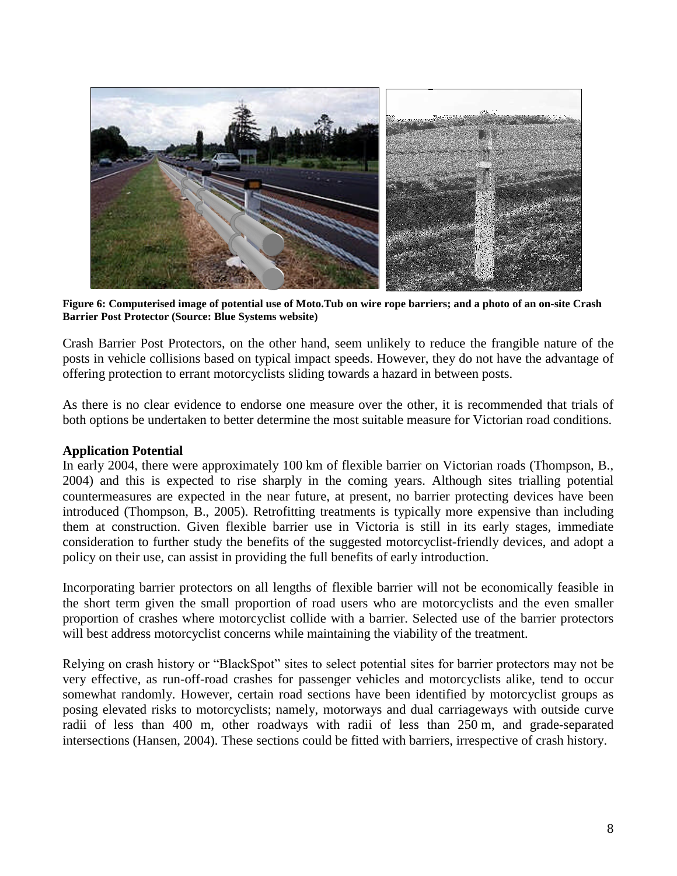

**Figure 6: Computerised image of potential use of Moto.Tub on wire rope barriers; and a photo of an on-site Crash Barrier Post Protector (Source: Blue Systems website)**

Crash Barrier Post Protectors, on the other hand, seem unlikely to reduce the frangible nature of the posts in vehicle collisions based on typical impact speeds. However, they do not have the advantage of offering protection to errant motorcyclists sliding towards a hazard in between posts.

As there is no clear evidence to endorse one measure over the other, it is recommended that trials of both options be undertaken to better determine the most suitable measure for Victorian road conditions.

#### **Application Potential**

In early 2004, there were approximately 100 km of flexible barrier on Victorian roads (Thompson, B., 2004) and this is expected to rise sharply in the coming years. Although sites trialling potential countermeasures are expected in the near future, at present, no barrier protecting devices have been introduced (Thompson, B., 2005). Retrofitting treatments is typically more expensive than including them at construction. Given flexible barrier use in Victoria is still in its early stages, immediate consideration to further study the benefits of the suggested motorcyclist-friendly devices, and adopt a policy on their use, can assist in providing the full benefits of early introduction.

Incorporating barrier protectors on all lengths of flexible barrier will not be economically feasible in the short term given the small proportion of road users who are motorcyclists and the even smaller proportion of crashes where motorcyclist collide with a barrier. Selected use of the barrier protectors will best address motorcyclist concerns while maintaining the viability of the treatment.

Relying on crash history or "BlackSpot" sites to select potential sites for barrier protectors may not be very effective, as run-off-road crashes for passenger vehicles and motorcyclists alike, tend to occur somewhat randomly. However, certain road sections have been identified by motorcyclist groups as posing elevated risks to motorcyclists; namely, motorways and dual carriageways with outside curve radii of less than 400 m, other roadways with radii of less than 250 m, and grade-separated intersections (Hansen, 2004). These sections could be fitted with barriers, irrespective of crash history.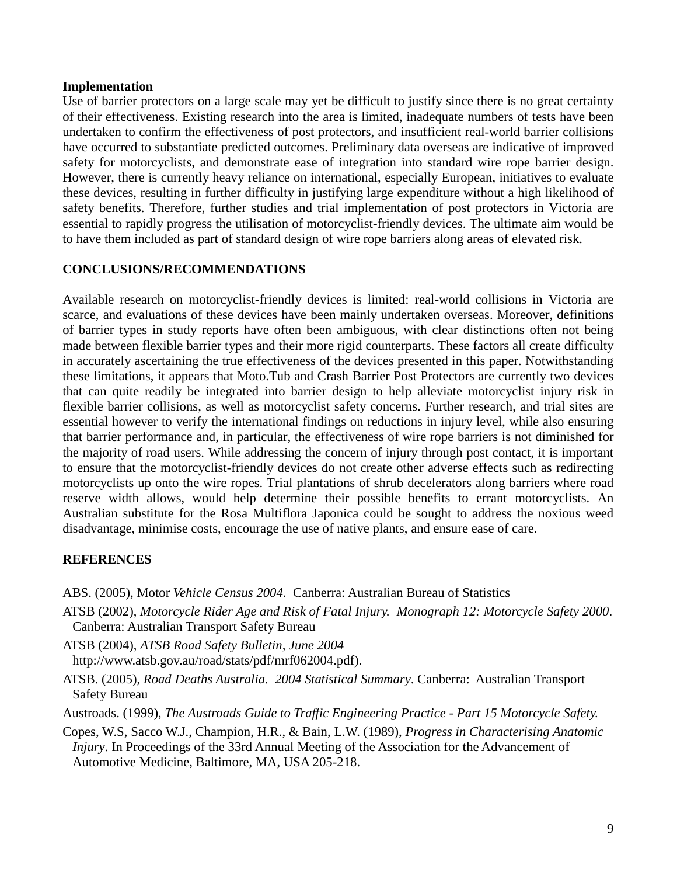#### **Implementation**

Use of barrier protectors on a large scale may yet be difficult to justify since there is no great certainty of their effectiveness. Existing research into the area is limited, inadequate numbers of tests have been undertaken to confirm the effectiveness of post protectors, and insufficient real-world barrier collisions have occurred to substantiate predicted outcomes. Preliminary data overseas are indicative of improved safety for motorcyclists, and demonstrate ease of integration into standard wire rope barrier design. However, there is currently heavy reliance on international, especially European, initiatives to evaluate these devices, resulting in further difficulty in justifying large expenditure without a high likelihood of safety benefits. Therefore, further studies and trial implementation of post protectors in Victoria are essential to rapidly progress the utilisation of motorcyclist-friendly devices. The ultimate aim would be to have them included as part of standard design of wire rope barriers along areas of elevated risk.

# **CONCLUSIONS/RECOMMENDATIONS**

Available research on motorcyclist-friendly devices is limited: real-world collisions in Victoria are scarce, and evaluations of these devices have been mainly undertaken overseas. Moreover, definitions of barrier types in study reports have often been ambiguous, with clear distinctions often not being made between flexible barrier types and their more rigid counterparts. These factors all create difficulty in accurately ascertaining the true effectiveness of the devices presented in this paper. Notwithstanding these limitations, it appears that Moto.Tub and Crash Barrier Post Protectors are currently two devices that can quite readily be integrated into barrier design to help alleviate motorcyclist injury risk in flexible barrier collisions, as well as motorcyclist safety concerns. Further research, and trial sites are essential however to verify the international findings on reductions in injury level, while also ensuring that barrier performance and, in particular, the effectiveness of wire rope barriers is not diminished for the majority of road users. While addressing the concern of injury through post contact, it is important to ensure that the motorcyclist-friendly devices do not create other adverse effects such as redirecting motorcyclists up onto the wire ropes. Trial plantations of shrub decelerators along barriers where road reserve width allows, would help determine their possible benefits to errant motorcyclists. An Australian substitute for the Rosa Multiflora Japonica could be sought to address the noxious weed disadvantage, minimise costs, encourage the use of native plants, and ensure ease of care.

# **REFERENCES**

ABS. (2005), Motor *Vehicle Census 2004*. Canberra: Australian Bureau of Statistics

ATSB (2002), *Motorcycle Rider Age and Risk of Fatal Injury. Monograph 12: Motorcycle Safety 2000*. Canberra: Australian Transport Safety Bureau

ATSB (2004), *ATSB Road Safety Bulletin, June 2004* http://www.atsb.gov.au/road/stats/pdf/mrf062004.pdf).

ATSB. (2005), *Road Deaths Australia. 2004 Statistical Summary*. Canberra: Australian Transport Safety Bureau

Austroads. (1999), *The Austroads Guide to Traffic Engineering Practice - Part 15 Motorcycle Safety.*

Copes, W.S, Sacco W.J., Champion, H.R., & Bain, L.W. (1989), *Progress in Characterising Anatomic Injury*. In Proceedings of the 33rd Annual Meeting of the Association for the Advancement of Automotive Medicine, Baltimore, MA, USA 205-218.